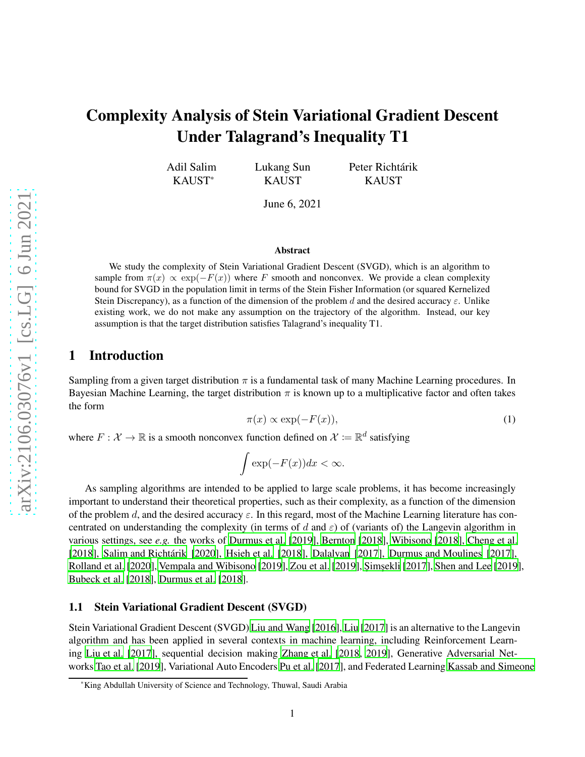# Complexity Analysis of Stein Variational Gradient Descent Under Talagrand's Inequality T1

Adil Salim KAUST\*

Lukang Sun KAUST

Peter Richtárik KAUST

June 6, 2021

#### Abstract

We study the complexity of Stein Variational Gradient Descent (SVGD), which is an algorithm to sample from  $\pi(x) \propto \exp(-F(x))$  where F smooth and nonconvex. We provide a clean complexity bound for SVGD in the population limit in terms of the Stein Fisher Information (or squared Kernelized Stein Discrepancy), as a function of the dimension of the problem d and the desired accuracy  $\varepsilon$ . Unlike existing work, we do not make any assumption on the trajectory of the algorithm. Instead, our key assumption is that the target distribution satisfies Talagrand's inequality T1.

## 1 Introduction

Sampling from a given target distribution  $\pi$  is a fundamental task of many Machine Learning procedures. In Bayesian Machine Learning, the target distribution  $\pi$  is known up to a multiplicative factor and often takes the form

$$
\pi(x) \propto \exp(-F(x)),\tag{1}
$$

where  $F : \mathcal{X} \to \mathbb{R}$  is a smooth nonconvex function defined on  $\mathcal{X} := \mathbb{R}^d$  satisfying

$$
\int \exp(-F(x))dx < \infty.
$$

As sampling algorithms are intended to be applied to large scale problems, it has become increasingly important to understand their theoretical properties, such as their complexity, as a function of the dimension of the problem d, and the desired accuracy  $\varepsilon$ . In this regard, most of the Machine Learning literature has concentrated on understanding the complexity (in terms of d and  $\varepsilon$ ) of (variants of) the Langevin algorithm in various settings, see *e.g.* the works of [Durmus et al.](#page-11-0) [\[2019](#page-11-0)], [Bernton](#page-10-0) [\[2018](#page-10-0)], [Wibisono \[2018](#page-12-0)], [Cheng et al.](#page-10-1) [\[2018](#page-10-1)], [Salim and Richtárik \[2020](#page-12-1)], [Hsieh et al. \[2018](#page-11-1)], [Dalalyan](#page-11-2) [\[2017](#page-11-2)], [Durmus and Moulines \[2017\]](#page-11-3), [Rolland et al. \[2020](#page-12-2)], [Vempala and Wibisono \[2019](#page-12-3)], [Zou et al. \[2019\]](#page-12-4), Şimşekli [2017], [Shen and Lee \[2019](#page-12-6)], [Bubeck et al.](#page-10-2) [\[2018](#page-10-2)], [Durmus et al. \[2018\]](#page-11-4).

### 1.1 Stein Variational Gradient Descent (SVGD)

Stein Variational Gradient Descent (SVGD) [Liu and Wang \[2016\]](#page-11-5), [Liu \[2017\]](#page-11-6) is an alternative to the Langevin algorithm and has been applied in several contexts in machine learning, including Reinforcement Learning [Liu et al.](#page-11-7) [\[2017](#page-11-7)], sequential decision making [Zhang et al.](#page-12-7) [\[2018](#page-12-7), [2019](#page-12-8)], Generative Adversarial Networks [Tao et al. \[2019\]](#page-12-9), Variational Auto Encoders [Pu et al. \[2017\]](#page-11-8), and Federated Learning [Kassab and Simeone](#page-11-9)

<sup>\*</sup>King Abdullah University of Science and Technology, Thuwal, Saudi Arabia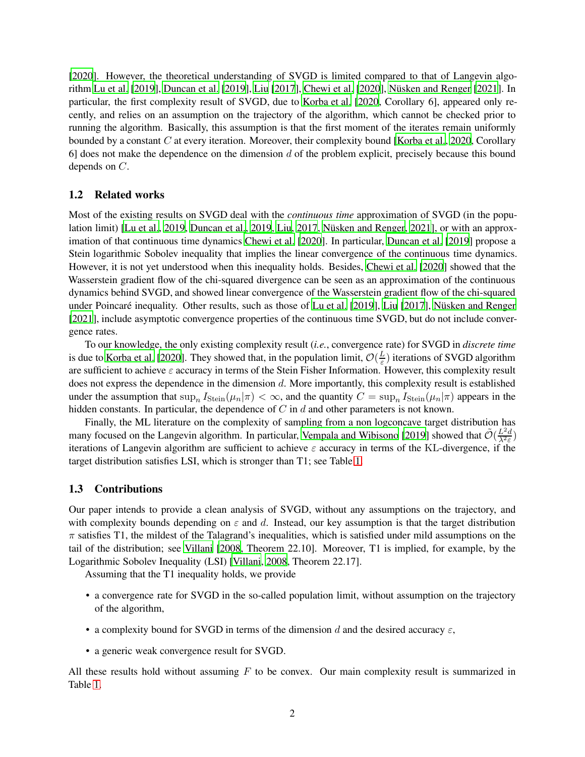[\[2020](#page-11-9)]. However, the theoretical understanding of SVGD is limited compared to that of Langevin algorithm [Lu et al. \[2019](#page-11-10)], [Duncan et al. \[2019](#page-11-11)], [Liu \[2017](#page-11-6)], [Chewi et al. \[2020](#page-10-3)], [Nüsken and Renger \[2021](#page-11-12)]. In particular, the first complexity result of SVGD, due to [Korba](#page-11-13) et al. [\[2020](#page-11-13), Corollary 6], appeared only recently, and relies on an assumption on the trajectory of the algorithm, which cannot be checked prior to running the algorithm. Basically, this assumption is that the first moment of the iterates remain uniformly bounded by a constant C at every iteration. Moreover, their complexity bound [\[Korba et al.](#page-11-13), [2020](#page-11-13), Corollary 6] does not make the dependence on the dimension  $d$  of the problem explicit, precisely because this bound depends on C.

## 1.2 Related works

Most of the existing results on SVGD deal with the *continuous time* approximation of SVGD (in the population limit) [\[Lu et al.](#page-11-10), [2019,](#page-11-10) [Duncan et al.](#page-11-11), [2019](#page-11-11), [Liu](#page-11-6), [2017](#page-11-6), [Nüsken and Renger](#page-11-12), [2021](#page-11-12)], or with an approximation of that continuous time dynamics [Chewi et al. \[2020\]](#page-10-3). In particular, [Duncan et al.](#page-11-11) [\[2019](#page-11-11)] propose a Stein logarithmic Sobolev inequality that implies the linear convergence of the continuous time dynamics. However, it is not yet understood when this inequality holds. Besides, [Chewi et al.](#page-10-3) [\[2020](#page-10-3)] showed that the Wasserstein gradient flow of the chi-squared divergence can be seen as an approximation of the continuous dynamics behind SVGD, and showed linear convergence of the Wasserstein gradient flow of the chi-squared under Poincaré inequality. Other results, such as those of [Lu et al.](#page-11-10) [\[2019](#page-11-10)], [Liu \[2017\]](#page-11-6), [Nüsken and Renger](#page-11-12) [\[2021](#page-11-12)], include asymptotic convergence properties of the continuous time SVGD, but do not include convergence rates.

To our knowledge, the only existing complexity result (*i.e.*, convergence rate) for SVGD in *discrete time* is due to [Korba et al.](#page-11-13) [\[2020](#page-11-13)]. They showed that, in the population limit,  $\mathcal{O}(\frac{L}{\varepsilon})$  $\frac{L}{\varepsilon}$ ) iterations of SVGD algorithm are sufficient to achieve  $\varepsilon$  accuracy in terms of the Stein Fisher Information. However, this complexity result does not express the dependence in the dimension d. More importantly, this complexity result is established under the assumption that  $\sup_n I_{Stein}(\mu_n|\pi) < \infty$ , and the quantity  $C = \sup_n I_{Stein}(\mu_n|\pi)$  appears in the hidden constants. In particular, the dependence of  $C$  in  $d$  and other parameters is not known.

Finally, the ML literature on the complexity of sampling from a non logconcave target distribution has many focused on the Langevin algorithm. In particular, [Vempala and Wibisono \[2019\]](#page-12-3) showed that  $\tilde{\mathcal{O}}(\frac{L^2d}{\lambda^2 \varepsilon})$  $\frac{L^2 d}{\lambda^2 \varepsilon}$ iterations of Langevin algorithm are sufficient to achieve  $\varepsilon$  accuracy in terms of the KL-divergence, if the target distribution satisfies LSI, which is stronger than T1; see Table [1.](#page-2-0)

## 1.3 Contributions

Our paper intends to provide a clean analysis of SVGD, without any assumptions on the trajectory, and with complexity bounds depending on  $\varepsilon$  and d. Instead, our key assumption is that the target distribution  $\pi$  satisfies T1, the mildest of the Talagrand's inequalities, which is satisfied under mild assumptions on the tail of the distribution; see [Villani \[2008](#page-12-10), Theorem 22.10]. Moreover, T1 is implied, for example, by the Logarithmic Sobolev Inequality (LSI) [\[Villani](#page-12-10), [2008](#page-12-10), Theorem 22.17].

Assuming that the T1 inequality holds, we provide

- a convergence rate for SVGD in the so-called population limit, without assumption on the trajectory of the algorithm,
- a complexity bound for SVGD in terms of the dimension d and the desired accuracy  $\varepsilon$ ,
- a generic weak convergence result for SVGD.

All these results hold without assuming  $F$  to be convex. Our main complexity result is summarized in Table [1.](#page-2-0)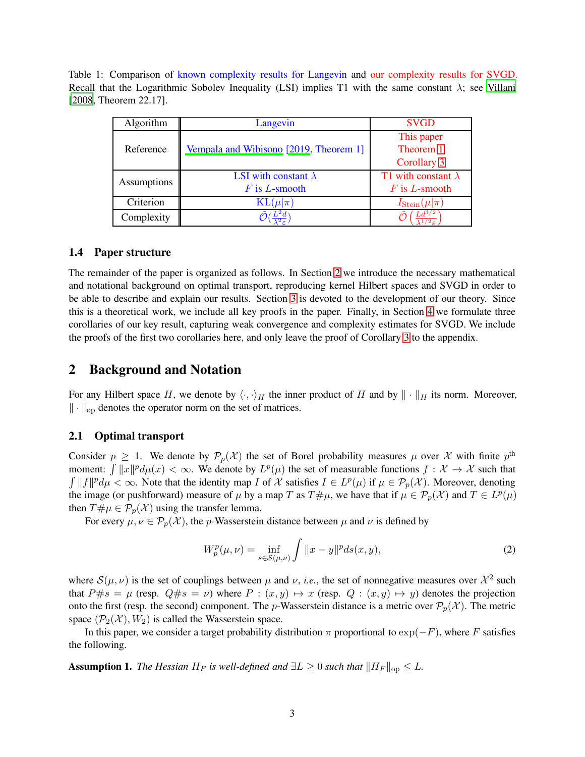<span id="page-2-0"></span>Table 1: Comparison of known complexity results for Langevin and our complexity results for SVGD. Recall that the Logarithmic Sobolev Inequality (LSI) implies T1 with the same constant  $\lambda$ ; see [Villani](#page-12-10) [\[2008](#page-12-10), Theorem 22.17].

| Algorithm   | Langevin                               | <b>SVGD</b>                 |
|-------------|----------------------------------------|-----------------------------|
| Reference   | Vempala and Wibisono [2019, Theorem 1] | This paper                  |
|             |                                        | Theorem 1                   |
|             |                                        | Corollary 3                 |
| Assumptions | LSI with constant $\lambda$            | T1 with constant $\lambda$  |
|             | $F$ is L-smooth                        | $F$ is L-smooth             |
| Criterion   | $KL(\mu \pi)$                          | $I_{\text{Stein}}(\mu \pi)$ |
| Complexity  |                                        |                             |

## 1.4 Paper structure

The remainder of the paper is organized as follows. In Section [2](#page-2-1) we introduce the necessary mathematical and notational background on optimal transport, reproducing kernel Hilbert spaces and SVGD in order to be able to describe and explain our results. Section [3](#page-5-0) is devoted to the development of our theory. Since this is a theoretical work, we include all key proofs in the paper. Finally, in Section [4](#page-9-0) we formulate three corollaries of our key result, capturing weak convergence and complexity estimates for SVGD. We include the proofs of the first two corollaries here, and only leave the proof of Corollary [3](#page-10-4) to the appendix.

## <span id="page-2-1"></span>2 Background and Notation

For any Hilbert space H, we denote by  $\langle \cdot, \cdot \rangle_H$  the inner product of H and by  $\| \cdot \|_H$  its norm. Moreover,  $\|\cdot\|_{\text{op}}$  denotes the operator norm on the set of matrices.

## 2.1 Optimal transport

Consider  $p \geq 1$ . We denote by  $\mathcal{P}_p(\mathcal{X})$  the set of Borel probability measures  $\mu$  over X with finite  $p^{\text{th}}$ moment:  $\int ||x||^p d\mu(x) < \infty$ . We denote by  $L^p(\mu)$  the set of measurable functions  $f : \mathcal{X} \to \mathcal{X}$  such that  $\int ||f||^p d\mu < \infty$ . Note that the identity map I of X satisfies  $I \in L^p(\mu)$  if  $\mu \in \mathcal{P}_p(\mathcal{X})$ . Moreover, denoting the image (or pushforward) measure of  $\mu$  by a map T as  $T \# \mu$ , we have that if  $\mu \in \mathcal{P}_p(\mathcal{X})$  and  $T \in L^p(\mu)$ then  $T \# \mu \in \mathcal{P}_p(\mathcal{X})$  using the transfer lemma.

For every  $\mu, \nu \in \mathcal{P}_p(\mathcal{X})$ , the p-Wasserstein distance between  $\mu$  and  $\nu$  is defined by

$$
W_p^p(\mu, \nu) = \inf_{s \in \mathcal{S}(\mu, \nu)} \int \|x - y\|^p ds(x, y), \tag{2}
$$

where  $S(\mu, \nu)$  is the set of couplings between  $\mu$  and  $\nu$ , *i.e.*, the set of nonnegative measures over  $\mathcal{X}^2$  such that  $P \# s = \mu$  (resp.  $Q \# s = \nu$ ) where  $P : (x, y) \mapsto x$  (resp.  $Q : (x, y) \mapsto y$ ) denotes the projection onto the first (resp. the second) component. The p-Wasserstein distance is a metric over  $\mathcal{P}_p(\mathcal{X})$ . The metric space  $(\mathcal{P}_2(\mathcal{X}), W_2)$  is called the Wasserstein space.

<span id="page-2-2"></span>In this paper, we consider a target probability distribution  $\pi$  proportional to exp( $-F$ ), where F satisfies the following.

**Assumption 1.** *The Hessian*  $H_F$  *is well-defined and*  $\exists L \geq 0$  *such that*  $||H_F||_{op} \leq L$ .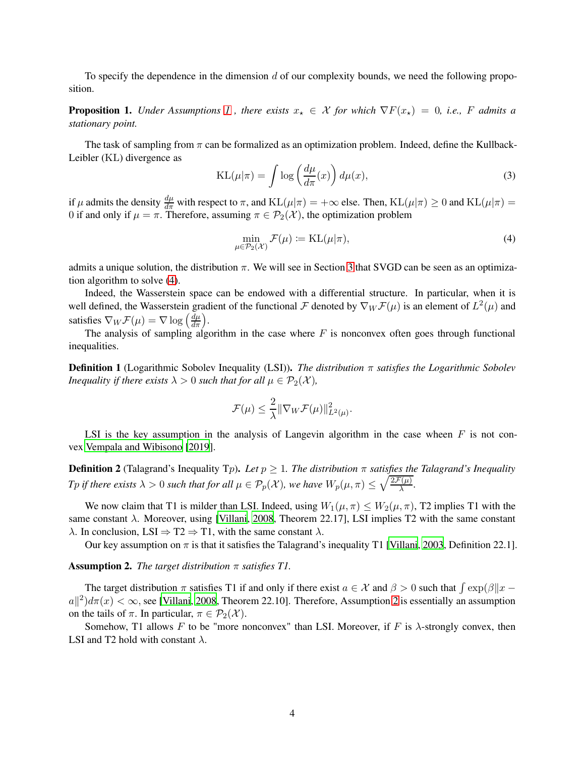<span id="page-3-2"></span>To specify the dependence in the dimension  $d$  of our complexity bounds, we need the following proposition.

**Proposition [1](#page-2-2).** *Under Assumptions* 1, there exists  $x_* \in \mathcal{X}$  for which  $\nabla F(x_*) = 0$ , i.e., F admits a *stationary point.*

The task of sampling from  $\pi$  can be formalized as an optimization problem. Indeed, define the Kullback-Leibler (KL) divergence as

$$
KL(\mu|\pi) = \int \log\left(\frac{d\mu}{d\pi}(x)\right) d\mu(x),\tag{3}
$$

if  $\mu$  admits the density  $\frac{d\mu}{d\pi}$  with respect to  $\pi$ , and  $KL(\mu|\pi) = +\infty$  else. Then,  $KL(\mu|\pi) \ge 0$  and  $KL(\mu|\pi) =$ 0 if and only if  $\mu = \pi$ . Therefore, assuming  $\pi \in \mathcal{P}_2(\mathcal{X})$ , the optimization problem

<span id="page-3-0"></span>
$$
\min_{\mu \in \mathcal{P}_2(\mathcal{X})} \mathcal{F}(\mu) := \text{KL}(\mu|\pi),\tag{4}
$$

admits a unique solution, the distribution  $\pi$ . We will see in Section [3](#page-5-0) that SVGD can be seen as an optimization algorithm to solve [\(4\)](#page-3-0).

Indeed, the Wasserstein space can be endowed with a differential structure. In particular, when it is well defined, the Wasserstein gradient of the functional F denoted by  $\nabla_W \mathcal{F}(\mu)$  is an element of  $L^2(\mu)$  and satisfies  $\nabla_W \mathcal{F}(\mu) = \nabla \log \left( \frac{d\mu}{d\pi} \right)$ .

The analysis of sampling algorithm in the case where  $F$  is nonconvex often goes through functional inequalities.

Definition 1 (Logarithmic Sobolev Inequality (LSI)). *The distribution* π *satisfies the Logarithmic Sobolev Inequality if there exists*  $\lambda > 0$  *such that for all*  $\mu \in \mathcal{P}_2(\mathcal{X})$ *,* 

$$
\mathcal{F}(\mu) \leq \frac{2}{\lambda} \|\nabla_W \mathcal{F}(\mu)\|_{L^2(\mu)}^2.
$$

LSI is the key assumption in the analysis of Langevin algorithm in the case wheen  $F$  is not convex [Vempala and Wibisono](#page-12-3) [\[2019](#page-12-3)].

**Definition 2** (Talagrand's Inequality Tp). Let  $p \geq 1$ . The distribution  $\pi$  satisfies the Talagrand's Inequality *Tp if there exists*  $\lambda > 0$  *such that for all*  $\mu \in \mathcal{P}_p(\mathcal{X})$ *, we have*  $W_p(\mu, \pi) \leq \sqrt{\frac{2\mathcal{F}(\mu)}{\lambda}}$ *.* 

We now claim that T1 is milder than LSI. Indeed, using  $W_1(\mu, \pi) \leq W_2(\mu, \pi)$ , T2 implies T1 with the same constant  $\lambda$ . Moreover, using [\[Villani, 2008](#page-12-10), Theorem 22.17], LSI implies T2 with the same constant  $\lambda$ . In conclusion, LSI  $\Rightarrow$  T2  $\Rightarrow$  T1, with the same constant  $\lambda$ .

<span id="page-3-1"></span>Our key assumption on  $\pi$  is that it satisfies the Talagrand's inequality T1 [\[Villani](#page-12-11), [2003](#page-12-11), Definition 22.1].

#### Assumption 2. *The target distribution* π *satisfies T1.*

The target distribution  $\pi$  satisfies T1 if and only if there exist  $a \in \mathcal{X}$  and  $\beta > 0$  such that  $\int \exp(\beta ||x - y|)$  $a||^2$  $a||^2$ ) $d\pi(x) < \infty$ , see [\[Villani, 2008,](#page-12-10) Theorem 22.10]. Therefore, Assumption 2 is essentially an assumption on the tails of  $\pi$ . In particular,  $\pi \in \mathcal{P}_2(\mathcal{X})$ .

Somehow, T1 allows F to be "more nonconvex" than LSI. Moreover, if F is  $\lambda$ -strongly convex, then LSI and T2 hold with constant  $\lambda$ .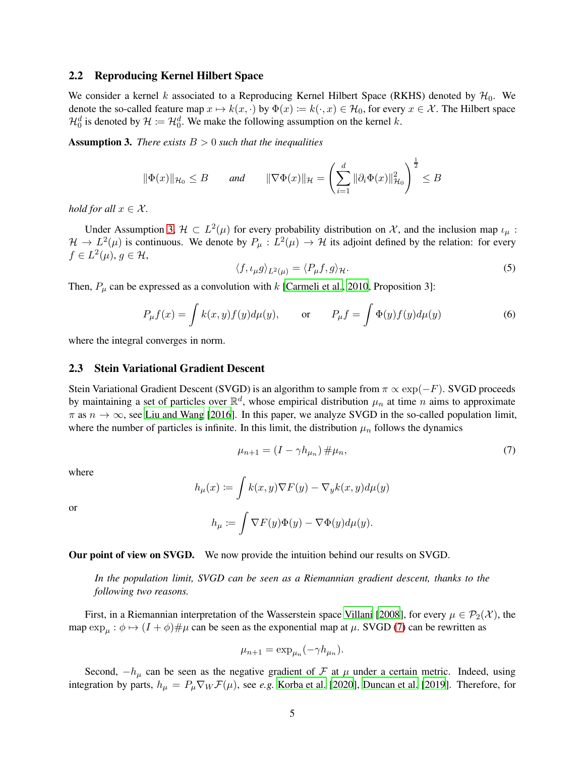### 2.2 Reproducing Kernel Hilbert Space

We consider a kernel k associated to a Reproducing Kernel Hilbert Space (RKHS) denoted by  $\mathcal{H}_0$ . We denote the so-called feature map  $x \mapsto k(x, \cdot)$  by  $\Phi(x) := k(\cdot, x) \in \mathcal{H}_0$ , for every  $x \in \mathcal{X}$ . The Hilbert space  $\mathcal{H}_0^d$  is denoted by  $\mathcal{H} := \mathcal{H}_0^d$ . We make the following assumption on the kernel k.

<span id="page-4-0"></span>Assumption 3. *There exists* B > 0 *such that the inequalities*

$$
\|\Phi(x)\|_{\mathcal{H}_0}\leq B\qquad\text{and}\qquad \|\nabla \Phi(x)\|_{\mathcal{H}}=\left(\sum_{i=1}^d\|\partial_i\Phi(x)\|_{\mathcal{H}_0}^2\right)^{\frac{1}{2}}\leq B
$$

*hold for all*  $x \in \mathcal{X}$ *.* 

Under Assumption [3,](#page-4-0)  $\mathcal{H} \subset L^2(\mu)$  for every probability distribution on X, and the inclusion map  $\iota_{\mu}$ :  $\mathcal{H} \to L^2(\mu)$  is continuous. We denote by  $P_\mu : L^2(\mu) \to \mathcal{H}$  its adjoint defined by the relation: for every  $f \in L^2(\mu)$ ,  $g \in \mathcal{H}$ ,

$$
\langle f, \iota_{\mu} g \rangle_{L^2(\mu)} = \langle P_{\mu} f, g \rangle_{\mathcal{H}}.
$$
\n(5)

Then,  $P_{\mu}$  can be expressed as a convolution with k [\[Carmeli et al.](#page-10-5), [2010,](#page-10-5) Proposition 3]:

$$
P_{\mu}f(x) = \int k(x, y)f(y)d\mu(y), \quad \text{or} \quad P_{\mu}f = \int \Phi(y)f(y)d\mu(y) \tag{6}
$$

where the integral converges in norm.

#### 2.3 Stein Variational Gradient Descent

Stein Variational Gradient Descent (SVGD) is an algorithm to sample from  $\pi \propto \exp(-F)$ . SVGD proceeds by maintaining a set of particles over  $\mathbb{R}^d$ , whose empirical distribution  $\mu_n$  at time n aims to approximate  $\pi$  as  $n \to \infty$ , see [Liu and Wang \[2016](#page-11-5)]. In this paper, we analyze SVGD in the so-called population limit, where the number of particles is infinite. In this limit, the distribution  $\mu_n$  follows the dynamics

<span id="page-4-1"></span>
$$
\mu_{n+1} = (I - \gamma h_{\mu_n}) \# \mu_n,\tag{7}
$$

where

or

$$
h_{\mu}(x) := \int k(x, y) \nabla F(y) - \nabla_{y} k(x, y) d\mu(y)
$$

$$
h_{\mu} := \int \nabla F(y) \Phi(y) - \nabla \Phi(y) d\mu(y).
$$

Our point of view on SVGD. We now provide the intuition behind our results on SVGD.

*In the population limit, SVGD can be seen as a Riemannian gradient descent, thanks to the following two reasons.*

First, in a Riemannian interpretation of the Wasserstein space [Villani \[2008\]](#page-12-10), for every  $\mu \in \mathcal{P}_2(\mathcal{X})$ , the map  $\exp_{\mu} : \phi \mapsto (I + \phi) \# \mu$  can be seen as the exponential map at  $\mu$ . SVGD [\(7\)](#page-4-1) can be rewritten as

$$
\mu_{n+1} = \exp_{\mu_n}(-\gamma h_{\mu_n}).
$$

Second,  $-h_{\mu}$  can be seen as the negative gradient of F at  $\mu$  under a certain metric. Indeed, using integration by parts,  $h_{\mu} = P_{\mu} \nabla_W \mathcal{F}(\mu)$ , see *e.g.* [Korba et al. \[2020](#page-11-13)], [Duncan et al.](#page-11-11) [\[2019](#page-11-11)]. Therefore, for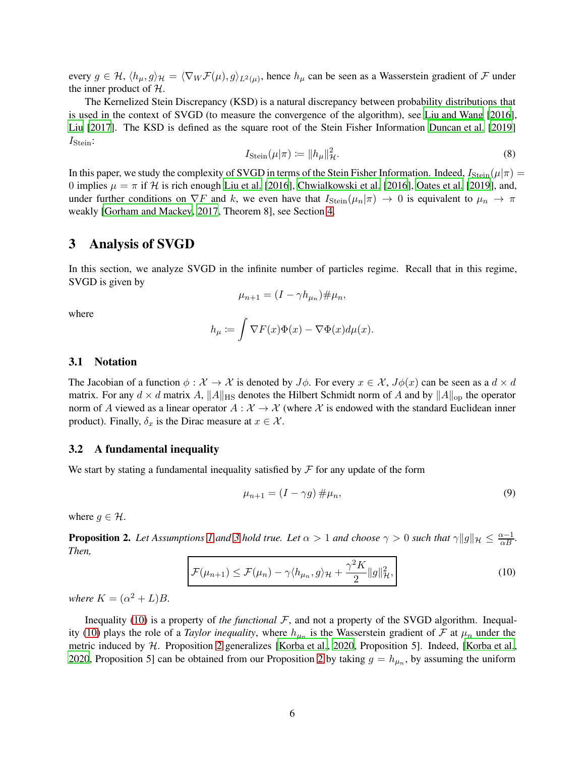every  $g \in H$ ,  $\langle h_\mu, g \rangle_\mathcal{H} = \langle \nabla_W \mathcal{F}(\mu), g \rangle_{L^2(\mu)}$ , hence  $h_\mu$  can be seen as a Wasserstein gradient of  $\mathcal F$  under the inner product of  $H$ .

The Kernelized Stein Discrepancy (KSD) is a natural discrepancy between probability distributions that is used in the context of SVGD (to measure the convergence of the algorithm), see [Liu and Wang \[2016\]](#page-11-5), [Liu](#page-11-6) [\[2017](#page-11-6)]. The KSD is defined as the square root of the Stein Fisher Information [Duncan et al.](#page-11-11) [\[2019](#page-11-11)]  $I_{Stein}:$ 

$$
I_{\text{Stein}}(\mu|\pi) \coloneqq \|h_{\mu}\|_{\mathcal{H}}^2. \tag{8}
$$

In this paper, we study the complexity of SVGD in terms of the Stein Fisher Information. Indeed,  $I_{Stein}(\mu|\pi)$  = 0 implies  $\mu = \pi$  if H is rich enough [Liu et al.](#page-11-14) [\[2016](#page-11-14)], [Chwialkowski et al. \[2016\]](#page-11-15), [Oates et al.](#page-11-16) [\[2019](#page-11-16)], and, under further conditions on  $\nabla F$  and k, we even have that  $I_{Stein}(\mu_n|\pi) \to 0$  is equivalent to  $\mu_n \to \pi$ weakly [\[Gorham and Mackey](#page-11-17), [2017](#page-11-17), Theorem 8], see Section [4.](#page-9-0)

## <span id="page-5-0"></span>3 Analysis of SVGD

In this section, we analyze SVGD in the infinite number of particles regime. Recall that in this regime, SVGD is given by

$$
\mu_{n+1} = (I - \gamma h_{\mu_n}) \# \mu_n,
$$

where

$$
h_{\mu} := \int \nabla F(x)\Phi(x) - \nabla \Phi(x)d\mu(x).
$$

### 3.1 Notation

The Jacobian of a function  $\phi : \mathcal{X} \to \mathcal{X}$  is denoted by  $J\phi$ . For every  $x \in \mathcal{X}$ ,  $J\phi(x)$  can be seen as a  $d \times d$ matrix. For any  $d \times d$  matrix A,  $||A||_{HS}$  denotes the Hilbert Schmidt norm of A and by  $||A||_{op}$  the operator norm of A viewed as a linear operator  $A : \mathcal{X} \to \mathcal{X}$  (where X is endowed with the standard Euclidean inner product). Finally,  $\delta_x$  is the Dirac measure at  $x \in \mathcal{X}$ .

#### 3.2 A fundamental inequality

We start by stating a fundamental inequality satisfied by  $\mathcal F$  for any update of the form

$$
\mu_{n+1} = (I - \gamma g) \# \mu_n,\tag{9}
$$

<span id="page-5-2"></span>where  $q \in \mathcal{H}$ .

<span id="page-5-1"></span>**Proposition 2.** Let Assumptions [1](#page-2-2) and [3](#page-4-0) hold true. Let  $\alpha > 1$  and choose  $\gamma > 0$  such that  $\gamma ||g||_{\mathcal{H}} \leq \frac{\alpha - 1}{\alpha B}$ . *Then,*

$$
\mathcal{F}(\mu_{n+1}) \le \mathcal{F}(\mu_n) - \gamma \langle h_{\mu_n}, g \rangle_{\mathcal{H}} + \frac{\gamma^2 K}{2} \|g\|_{\mathcal{H}}^2,
$$
\n(10)

*where*  $K = (\alpha^2 + L)B$ *.* 

Inequality [\(10\)](#page-5-1) is a property of *the functional* F, and not a property of the SVGD algorithm. Inequal-ity [\(10\)](#page-5-1) plays the role of a *Taylor inequality*, where  $h_{\mu_n}$  is the Wasserstein gradient of  $\mathcal F$  at  $\mu_n$  under the metric induced by H. Proposition [2](#page-5-2) generalizes [\[Korba et al., 2020,](#page-11-13) Proposition 5]. Indeed, [\[Korba et al.,](#page-11-13) [2020,](#page-11-13) Proposition 5] can be obtained from our Proposition [2](#page-5-2) by taking  $g = h_{\mu_n}$ , by assuming the uniform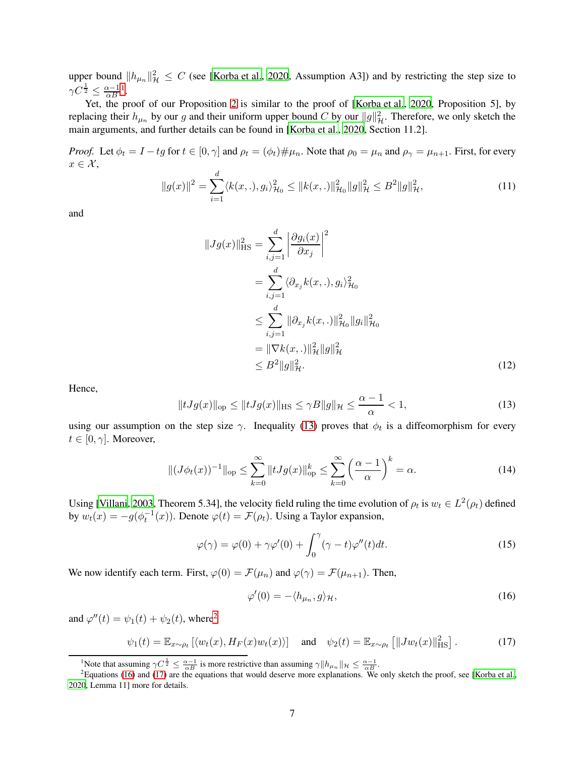upper bound  $||h_{\mu_n}||^2_{\mathcal{H}} \leq C$  (see [\[Korba et al., 2020](#page-11-13), Assumption A3]) and by restricting the step size to  $\gamma C^{\frac{1}{2}} \leq \frac{\alpha - 1}{\alpha B}$  $\gamma C^{\frac{1}{2}} \leq \frac{\alpha - 1}{\alpha B}$  $\gamma C^{\frac{1}{2}} \leq \frac{\alpha - 1}{\alpha B}$ <sup>1</sup>.

Yet, the proof of our Proposition [2](#page-5-2) is similar to the proof of [\[Korba et al.](#page-11-13), [2020](#page-11-13), Proposition 5], by replacing their  $h_{\mu_n}$  by our g and their uniform upper bound C by our  $||g||^2_{\mathcal{H}}$ . Therefore, we only sketch the main arguments, and further details can be found in [\[Korba et](#page-11-13) al., [2020](#page-11-13), Section 11.2].

<span id="page-6-5"></span>*Proof.* Let  $\phi_t = I - tg$  for  $t \in [0, \gamma]$  and  $\rho_t = (\phi_t) \# \mu_n$ . Note that  $\rho_0 = \mu_n$  and  $\rho_\gamma = \mu_{n+1}$ . First, for every  $x \in \mathcal{X}$ ,

$$
||g(x)||^2 = \sum_{i=1}^d \langle k(x, \cdot), g_i \rangle_{\mathcal{H}_0}^2 \le ||k(x, \cdot)||_{\mathcal{H}_0}^2 ||g||_{\mathcal{H}}^2 \le B^2 ||g||_{\mathcal{H}}^2,
$$
\n(11)

and

<span id="page-6-6"></span>
$$
||Jg(x)||_{\text{HS}}^2 = \sum_{i,j=1}^d \left| \frac{\partial g_i(x)}{\partial x_j} \right|^2
$$
  
= 
$$
\sum_{i,j=1}^d \langle \partial_{x_j} k(x,.) , g_i \rangle_{\mathcal{H}_0}^2
$$
  

$$
\leq \sum_{i,j=1}^d ||\partial_{x_j} k(x,.)||_{\mathcal{H}_0}^2 ||g_i||_{\mathcal{H}_0}^2
$$
  
= 
$$
||\nabla k(x,.)||_{\mathcal{H}}^2 ||g||_{\mathcal{H}}^2
$$
  

$$
\leq B^2 ||g||_{\mathcal{H}}^2.
$$
 (12)

<span id="page-6-1"></span>Hence,

$$
||tJg(x)||_{\text{op}} \le ||tJg(x)||_{\text{HS}} \le \gamma B||g||_{\mathcal{H}} \le \frac{\alpha - 1}{\alpha} < 1,\tag{13}
$$

using our assumption on the step size  $\gamma$ . Inequality [\(13\)](#page-6-1) proves that  $\phi_t$  is a diffeomorphism for every  $t \in [0, \gamma]$ . Moreover,

<span id="page-6-7"></span>
$$
||(J\phi_t(x))^{-1}||_{\text{op}} \le \sum_{k=0}^{\infty} ||tJg(x)||_{\text{op}}^k \le \sum_{k=0}^{\infty} \left(\frac{\alpha-1}{\alpha}\right)^k = \alpha.
$$
 (14)

Using [\[Villani](#page-12-11), [2003](#page-12-11), Theorem 5.34], the velocity field ruling the time evolution of  $\rho_t$  is  $w_t \in L^2(\rho_t)$  defined by  $w_t(x) = -g(\phi_t^{-1}(x))$ . Denote  $\varphi(t) = \mathcal{F}(\rho_t)$ . Using a Taylor expansion,

$$
\varphi(\gamma) = \varphi(0) + \gamma \varphi'(0) + \int_0^{\gamma} (\gamma - t) \varphi''(t) dt.
$$
\n(15)

We now identify each term. First,  $\varphi(0) = \mathcal{F}(\mu_n)$  and  $\varphi(\gamma) = \mathcal{F}(\mu_{n+1})$ . Then,

<span id="page-6-8"></span><span id="page-6-4"></span><span id="page-6-3"></span>
$$
\varphi'(0) = -\langle h_{\mu_n}, g \rangle_{\mathcal{H}},\tag{16}
$$

and  $\varphi''(t) = \psi_1(t) + \psi_2(t)$  $\varphi''(t) = \psi_1(t) + \psi_2(t)$  $\varphi''(t) = \psi_1(t) + \psi_2(t)$ , where<sup>2</sup>

$$
\psi_1(t) = \mathbb{E}_{x \sim \rho_t} \left[ \langle w_t(x), H_F(x) w_t(x) \rangle \right] \quad \text{and} \quad \psi_2(t) = \mathbb{E}_{x \sim \rho_t} \left[ \| J w_t(x) \|_{\text{HS}}^2 \right]. \tag{17}
$$

<span id="page-6-0"></span><sup>&</sup>lt;sup>1</sup>Note that assuming  $\gamma C^{\frac{1}{2}} \leq \frac{\alpha-1}{\alpha B}$  is more restrictive than assuming  $\gamma \|h_{\mu_n}\|_{\mathcal{H}} \leq \frac{\alpha-1}{\alpha B}$ .

<span id="page-6-2"></span> ${}^{2}$ Equations [\(16\)](#page-6-3) and [\(17\)](#page-6-4) are the equations that would deserve more explanations. We only sketch the proof, see [\[Korba et al.,](#page-11-13) [2020,](#page-11-13) Lemma 11] more for details.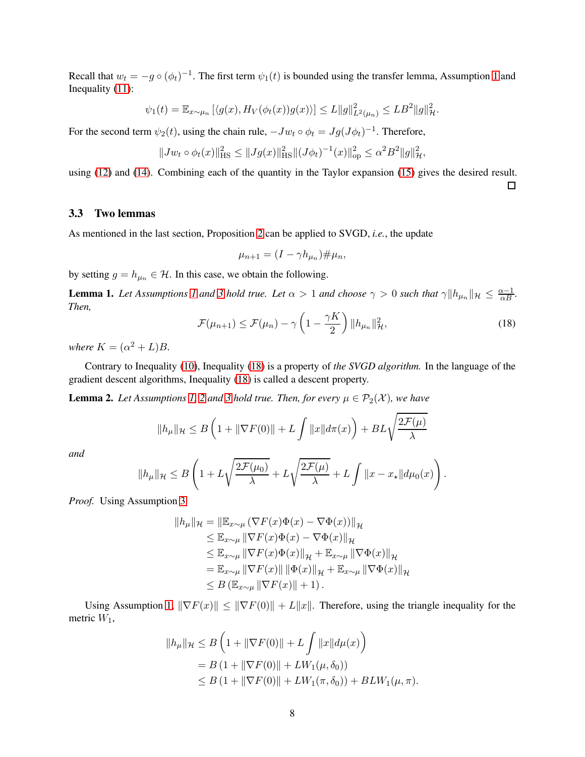Recall that  $w_t = -g \circ (\phi_t)^{-1}$ . The first term  $\psi_1(t)$  is bounded using the transfer lemma, Assumption [1](#page-2-2) and Inequality [\(11\)](#page-6-5):

$$
\psi_1(t) = \mathbb{E}_{x \sim \mu_n} \left[ \langle g(x), H_V(\phi_t(x))g(x) \rangle \right] \leq L \|g\|_{L^2(\mu_n)}^2 \leq L B^2 \|g\|_{\mathcal{H}}^2.
$$

For the second term  $\psi_2(t)$ , using the chain rule,  $-Jw_t \circ \phi_t = Jg(J\phi_t)^{-1}$ . Therefore,

$$
||Jw_t \circ \phi_t(x)||_{\text{HS}}^2 \le ||Jg(x)||_{\text{HS}}^2 ||(J\phi_t)^{-1}(x)||_{\text{op}}^2 \le \alpha^2 B^2 ||g||_{\mathcal{H}}^2,
$$

using [\(12\)](#page-6-6) and [\(14\)](#page-6-7). Combining each of the quantity in the Taylor expansion [\(15\)](#page-6-8) gives the desired result.

3.3 Two lemmas

As mentioned in the last section, Proposition [2](#page-5-2) can be applied to SVGD, *i.e.*, the update

$$
\mu_{n+1} = (I - \gamma h_{\mu_n}) \# \mu_n,
$$

<span id="page-7-1"></span>by setting  $g = h_{\mu_n} \in \mathcal{H}$ . In this case, we obtain the following.

<span id="page-7-0"></span>**Lemma [1](#page-2-2).** Let Assumptions 1 and [3](#page-4-0) hold true. Let  $\alpha > 1$  and choose  $\gamma > 0$  such that  $\gamma \| h_{\mu_n} \|_{\mathcal{H}} \leq \frac{\alpha - 1}{\alpha B}$ . *Then,*

$$
\mathcal{F}(\mu_{n+1}) \le \mathcal{F}(\mu_n) - \gamma \left( 1 - \frac{\gamma K}{2} \right) \| h_{\mu_n} \|_{\mathcal{H}}^2,
$$
\n(18)

 $\Box$ 

*where*  $K = (\alpha^2 + L)B$ *.* 

<span id="page-7-2"></span>Contrary to Inequality [\(10\)](#page-5-1), Inequality [\(18\)](#page-7-0) is a property of *the SVGD algorithm.* In the language of the gradient descent algorithms, Inequality [\(18\)](#page-7-0) is called a descent property.

**Lemma [2](#page-3-1).** Let Assumptions [1,](#page-2-2) 2 and [3](#page-4-0) hold true. Then, for every  $\mu \in \mathcal{P}_2(\mathcal{X})$ , we have

$$
||h_{\mu}||_{\mathcal{H}} \leq B\left(1 + ||\nabla F(0)|| + L\int ||x||d\pi(x)\right) + BL\sqrt{\frac{2\mathcal{F}(\mu)}{\lambda}}
$$

*and*

$$
||h_{\mu}||_{\mathcal{H}} \leq B\left(1 + L\sqrt{\frac{2\mathcal{F}(\mu_0)}{\lambda}} + L\sqrt{\frac{2\mathcal{F}(\mu)}{\lambda}} + L\int ||x - x_{\star}|| d\mu_0(x)\right).
$$

*Proof.* Using Assumption [3](#page-4-0)

$$
||h_{\mu}||_{\mathcal{H}} = ||\mathbb{E}_{x \sim \mu} (\nabla F(x)\Phi(x) - \nabla \Phi(x))||_{\mathcal{H}}
$$
  
\n
$$
\leq \mathbb{E}_{x \sim \mu} ||\nabla F(x)\Phi(x) - \nabla \Phi(x)||_{\mathcal{H}}
$$
  
\n
$$
\leq \mathbb{E}_{x \sim \mu} ||\nabla F(x)\Phi(x)||_{\mathcal{H}} + \mathbb{E}_{x \sim \mu} ||\nabla \Phi(x)||_{\mathcal{H}}
$$
  
\n
$$
= \mathbb{E}_{x \sim \mu} ||\nabla F(x)|| ||\Phi(x)||_{\mathcal{H}} + \mathbb{E}_{x \sim \mu} ||\nabla \Phi(x)||_{\mathcal{H}}
$$
  
\n
$$
\leq B (\mathbb{E}_{x \sim \mu} ||\nabla F(x)|| + 1).
$$

Using Assumption [1,](#page-2-2)  $\|\nabla F(x)\| \leq \|\nabla F(0)\| + L\|x\|$ . Therefore, using the triangle inequality for the metric  $W_1$ ,

$$
||h_{\mu}||_{\mathcal{H}} \leq B \left( 1 + ||\nabla F(0)|| + L \int ||x|| d\mu(x) \right)
$$
  
= B (1 + ||\nabla F(0)|| + LW<sub>1</sub>( $\mu, \delta_0$ ))  
 $\leq B (1 + ||\nabla F(0)|| + LW_1(\pi, \delta_0)) + BLW_1(\mu, \pi).$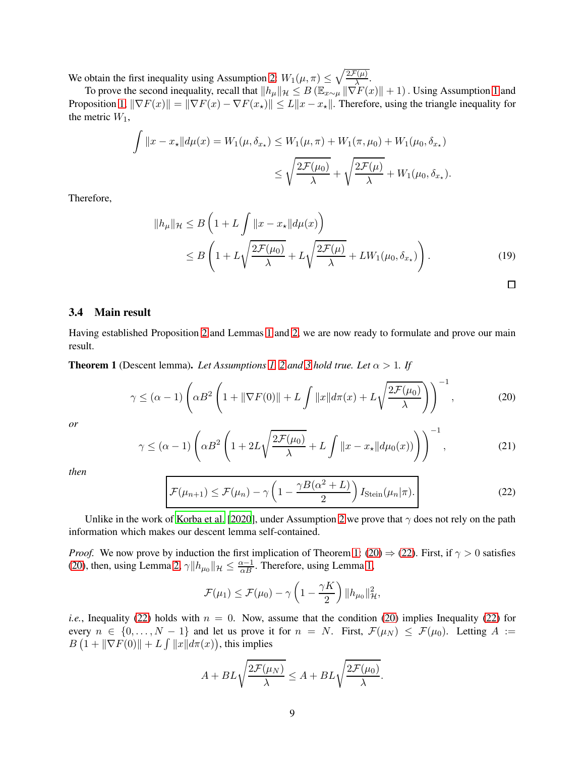We obtain the first inequality using Assumption [2:](#page-3-1)  $W_1(\mu, \pi) \leq \sqrt{\frac{2\mathcal{F}(\mu)}{\lambda}}$ .

To prove the second inequality, recall that  $||h_\mu||_\mathcal{H} \leq B (\mathbb{E}_{x \sim \mu} ||\nabla F(x)|| + 1)$  $||h_\mu||_\mathcal{H} \leq B (\mathbb{E}_{x \sim \mu} ||\nabla F(x)|| + 1)$  $||h_\mu||_\mathcal{H} \leq B (\mathbb{E}_{x \sim \mu} ||\nabla F(x)|| + 1)$ . Using Assumption 1 and Proposition [1,](#page-3-2)  $\|\nabla F(x)\| = \|\nabla F(x) - \nabla F(x_\star)\| \le L\|x - x_\star\|$ . Therefore, using the triangle inequality for the metric  $W_1$ ,

$$
\int ||x - x_{\star}|| d\mu(x) = W_1(\mu, \delta_{x_{\star}}) \le W_1(\mu, \pi) + W_1(\pi, \mu_0) + W_1(\mu_0, \delta_{x_{\star}})
$$

$$
\le \sqrt{\frac{2\mathcal{F}(\mu_0)}{\lambda}} + \sqrt{\frac{2\mathcal{F}(\mu)}{\lambda}} + W_1(\mu_0, \delta_{x_{\star}}).
$$

Therefore,

$$
||h_{\mu}||_{\mathcal{H}} \leq B\left(1 + L\int ||x - x_{\star}||d\mu(x)\right)
$$
  
\n
$$
\leq B\left(1 + L\sqrt{\frac{2\mathcal{F}(\mu_0)}{\lambda}} + L\sqrt{\frac{2\mathcal{F}(\mu)}{\lambda}} + LW_1(\mu_0, \delta_{x_{\star}})\right).
$$
\n(19)

## 3.4 Main result

<span id="page-8-0"></span>Having established Proposition [2](#page-5-2) and Lemmas [1](#page-7-1) and [2,](#page-7-2) we are now ready to formulate and prove our main result.

**Theorem 1** (Descent lemma). *Let Assumptions [1,](#page-2-2) [2](#page-3-1) and [3](#page-4-0) hold true. Let*  $\alpha > 1$ *. If* 

$$
\gamma \leq (\alpha - 1) \left( \alpha B^2 \left( 1 + \|\nabla F(0)\| + L \int \|x\| d\pi(x) + L \sqrt{\frac{2\mathcal{F}(\mu_0)}{\lambda}} \right) \right)^{-1},\tag{20}
$$

<span id="page-8-3"></span>*or*

$$
\gamma \leq (\alpha - 1) \left( \alpha B^2 \left( 1 + 2L \sqrt{\frac{2\mathcal{F}(\mu_0)}{\lambda}} + L \int ||x - x_{\star}|| d\mu_0(x)) \right) \right)^{-1}, \tag{21}
$$

<span id="page-8-2"></span>*then*

<span id="page-8-1"></span>
$$
\mathcal{F}(\mu_{n+1}) \le \mathcal{F}(\mu_n) - \gamma \left(1 - \frac{\gamma B(\alpha^2 + L)}{2}\right) I_{\text{Stein}}(\mu_n | \pi). \tag{22}
$$

Unlike in the work of [Korba et al.](#page-11-13) [\[2020](#page-11-13)], under Assumption [2](#page-3-1) we prove that  $\gamma$  does not rely on the path information which makes our descent lemma self-contained.

*Proof.* We now prove by induction the first implication of Theorem [1:](#page-8-0) [\(20\)](#page-8-1)  $\Rightarrow$  [\(22\)](#page-8-2). First, if  $\gamma > 0$  satisfies [\(20\)](#page-8-1), then, using Lemma [2,](#page-7-2)  $\gamma \| h_{\mu_0} \|_{\mathcal{H}} \leq \frac{\alpha - 1}{\alpha B}$ . Therefore, using Lemma [1,](#page-7-1)

$$
\mathcal{F}(\mu_1) \leq \mathcal{F}(\mu_0) - \gamma \left(1 - \frac{\gamma K}{2}\right) ||h_{\mu_0}||_{\mathcal{H}}^2,
$$

*i.e.*, Inequality [\(22\)](#page-8-2) holds with  $n = 0$ . Now, assume that the condition [\(20\)](#page-8-1) implies Inequality [\(22\)](#page-8-2) for every  $n \in \{0, \ldots, N-1\}$  and let us prove it for  $n = N$ . First,  $\mathcal{F}(\mu_N) \leq \mathcal{F}(\mu_0)$ . Letting  $A :=$  $B(1 + \|\nabla F(0)\| + L \int \|x\| d\pi(x))$ , this implies

$$
A + BL\sqrt{\frac{2\mathcal{F}(\mu_N)}{\lambda}} \le A + BL\sqrt{\frac{2\mathcal{F}(\mu_0)}{\lambda}}.
$$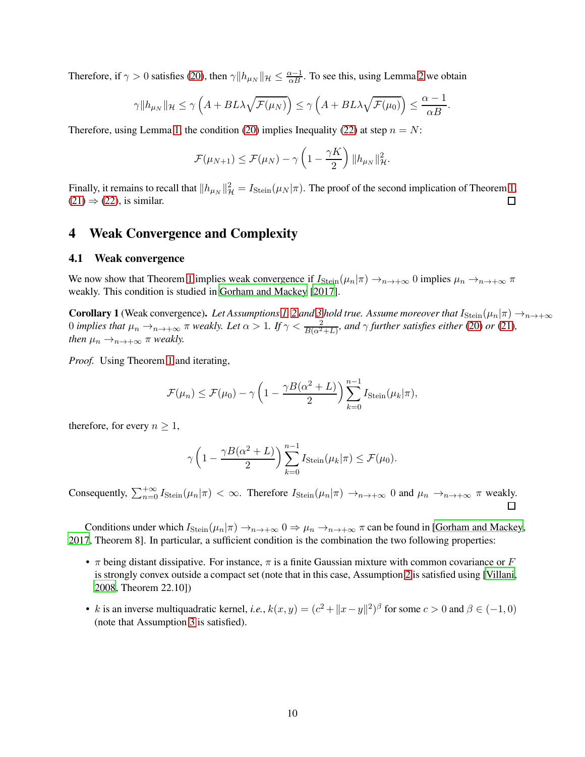Therefore, if  $\gamma > 0$  satisfies [\(20\)](#page-8-1), then  $\gamma \| h_{\mu_N} \|_{\mathcal{H}} \leq \frac{\alpha - 1}{\alpha B}$ . To see this, using Lemma [2](#page-7-2) we obtain

$$
\gamma \|h_{\mu_N}\|_{\mathcal{H}} \leq \gamma \left( A + BL\lambda \sqrt{\mathcal{F}(\mu_N)} \right) \leq \gamma \left( A + BL\lambda \sqrt{\mathcal{F}(\mu_0)} \right) \leq \frac{\alpha - 1}{\alpha B}.
$$

Therefore, using Lemma [1,](#page-7-1) the condition [\(20\)](#page-8-1) implies Inequality [\(22\)](#page-8-2) at step  $n = N$ :

$$
\mathcal{F}(\mu_{N+1}) \leq \mathcal{F}(\mu_N) - \gamma \left(1 - \frac{\gamma K}{2}\right) ||h_{\mu_N}||_{\mathcal{H}}^2.
$$

Finally, it remains to recall that  $||h_{\mu_N}||^2_{\mathcal{H}} = I_{\text{Stein}}(\mu_N|\pi)$ . The proof of the second implication of Theorem [1,](#page-8-0)  $(21) \Rightarrow (22)$  $(21) \Rightarrow (22)$  $(21) \Rightarrow (22)$ , is similar.

## <span id="page-9-0"></span>4 Weak Convergence and Complexity

## 4.1 Weak convergence

We now show that Theorem [1](#page-8-0) implies weak convergence if  $I_{Stein}(\mu_n|\pi) \to_{n \to +\infty} 0$  implies  $\mu_n \to_{n \to +\infty} \pi$ weakly. This condition is studied in [Gorham and Mackey \[2017](#page-11-17)].

**Corollary 1** (Weak convergence). Let Assumptions [1,](#page-2-2) [2](#page-3-1) and [3](#page-4-0) hold true. Assume moreover that  $I_{Stein}(\mu_n|\pi) \to_{n \to +\infty} I_n$ 0 *implies that*  $\mu_n \to_{n \to +\infty} \pi$  weakly. Let  $\alpha > 1$ . If  $\gamma < \frac{2}{B(\alpha^2+L)}$ , and  $\gamma$  further satisfies either [\(20\)](#page-8-1) or [\(21\)](#page-8-3), *then*  $\mu_n \rightarrow_{n \rightarrow +\infty} \pi$  *weakly.* 

*Proof.* Using Theorem [1](#page-8-0) and iterating,

$$
\mathcal{F}(\mu_n) \leq \mathcal{F}(\mu_0) - \gamma \left(1 - \frac{\gamma B(\alpha^2 + L)}{2}\right) \sum_{k=0}^{n-1} I_{Stein}(\mu_k|\pi),
$$

therefore, for every  $n \geq 1$ ,

$$
\gamma \left(1 - \frac{\gamma B(\alpha^2 + L)}{2}\right) \sum_{k=0}^{n-1} I_{\text{Stein}}(\mu_k|\pi) \le \mathcal{F}(\mu_0).
$$

Consequently,  $\sum_{n=0}^{+\infty} I_{Stein}(\mu_n|\pi) < \infty$ . Therefore  $I_{Stein}(\mu_n|\pi) \to_{n \to +\infty} 0$  and  $\mu_n \to_{n \to +\infty} \pi$  weakly.

Conditions under which  $I_{Stein}(\mu_n|\pi) \to_{n \to +\infty} 0 \Rightarrow \mu_n \to_{n \to +\infty} \pi$  can be found in [\[Gorham and Mackey,](#page-11-17) [2017,](#page-11-17) Theorem 8]. In particular, a sufficient condition is the combination the two following properties:

- $\pi$  being distant dissipative. For instance,  $\pi$  is a finite Gaussian mixture with common covariance or F is strongly convex outside a compact set (note that in this case, Assumption [2](#page-3-1) is satisfied using [\[Villani](#page-12-10), [2008](#page-12-10), Theorem 22.10])
- k is an inverse multiquadratic kernel, *i.e.*,  $k(x, y) = (c^2 + ||x y||^2)^{\beta}$  for some  $c > 0$  and  $\beta \in (-1, 0)$ (note that Assumption [3](#page-4-0) is satisfied).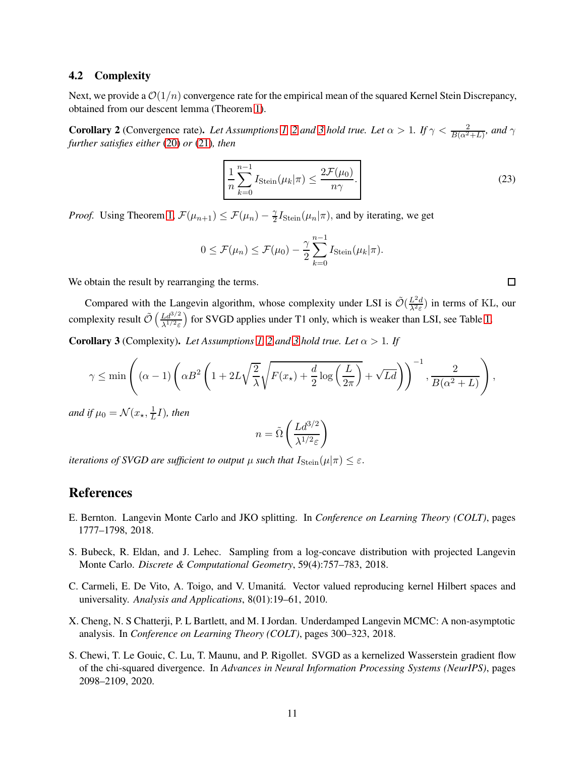### 4.2 Complexity

<span id="page-10-6"></span>Next, we provide a  $\mathcal{O}(1/n)$  convergence rate for the empirical mean of the squared Kernel Stein Discrepancy, obtained from our descent lemma (Theorem [1\)](#page-8-0).

**Corollary [2](#page-3-1)** (Convergence rate). Let Assumptions [1,](#page-2-2) 2 and [3](#page-4-0) hold true. Let  $\alpha > 1$ . If  $\gamma < \frac{2}{B(\alpha^2+L)}$ , and  $\gamma$ *further satisfies either* [\(20\)](#page-8-1) *or* [\(21\)](#page-8-3)*, then*

$$
\frac{1}{n}\sum_{k=0}^{n-1} I_{\text{Stein}}(\mu_k|\pi) \le \frac{2\mathcal{F}(\mu_0)}{n\gamma}.
$$
\n(23)

*Proof.* Using Theorem [1,](#page-8-0)  $\mathcal{F}(\mu_{n+1}) \leq \mathcal{F}(\mu_n) - \frac{\gamma}{2}$  $\frac{\gamma}{2}I_{\text{Stein}}(\mu_n|\pi)$ , and by iterating, we get

$$
0 \leq \mathcal{F}(\mu_n) \leq \mathcal{F}(\mu_0) - \frac{\gamma}{2} \sum_{k=0}^{n-1} I_{\text{Stein}}(\mu_k|\pi).
$$

We obtain the result by rearranging the terms.

Compared with the Langevin algorithm, whose complexity under LSI is  $\tilde{\mathcal{O}}\left(\frac{L^2d}{\lambda^2 \varepsilon}\right)$  $\frac{L^2 d}{\lambda^2 \varepsilon}$ ) in terms of KL, our complexity result  $\tilde{\mathcal{O}}\left(\frac{Ld^{3/2}}{\lambda^{1/2}\varepsilon}\right)$  $\frac{Ld^{3/2}}{\lambda^{1/2}\varepsilon}$  for SVGD applies under T1 only, which is weaker than LSI, see Table [1.](#page-2-0)

<span id="page-10-4"></span>**Corollary [3](#page-4-0)** (Complexity). Let Assumptions [1,](#page-2-2) [2](#page-3-1) and 3 hold true. Let  $\alpha > 1$ . If

$$
\gamma \le \min\left( (\alpha - 1) \left( \alpha B^2 \left( 1 + 2L\sqrt{\frac{2}{\lambda}} \sqrt{F(x_\star) + \frac{d}{2} \log\left(\frac{L}{2\pi}\right)} + \sqrt{Ld} \right) \right)^{-1}, \frac{2}{B(\alpha^2 + L)} \right),
$$

*and if*  $\mu_0 = \mathcal{N}(x_\star, \frac{1}{L})$  $\frac{1}{L}I$ ), then

$$
n = \tilde{\Omega}\left(\frac{Ld^{3/2}}{\lambda^{1/2}\varepsilon}\right)
$$

*iterations of SVGD are sufficient to output*  $\mu$  *such that*  $I_{Stein}(\mu|\pi) \leq \varepsilon$ .

## References

- <span id="page-10-0"></span>E. Bernton. Langevin Monte Carlo and JKO splitting. In *Conference on Learning Theory (COLT)*, pages 1777–1798, 2018.
- <span id="page-10-2"></span>S. Bubeck, R. Eldan, and J. Lehec. Sampling from a log-concave distribution with projected Langevin Monte Carlo. *Discrete & Computational Geometry*, 59(4):757–783, 2018.
- <span id="page-10-5"></span>C. Carmeli, E. De Vito, A. Toigo, and V. Umanitá. Vector valued reproducing kernel Hilbert spaces and universality. *Analysis and Applications*, 8(01):19–61, 2010.
- <span id="page-10-1"></span>X. Cheng, N. S Chatterji, P. L Bartlett, and M. I Jordan. Underdamped Langevin MCMC: A non-asymptotic analysis. In *Conference on Learning Theory (COLT)*, pages 300–323, 2018.
- <span id="page-10-3"></span>S. Chewi, T. Le Gouic, C. Lu, T. Maunu, and P. Rigollet. SVGD as a kernelized Wasserstein gradient flow of the chi-squared divergence. In *Advances in Neural Information Processing Systems (NeurIPS)*, pages 2098–2109, 2020.

 $\Box$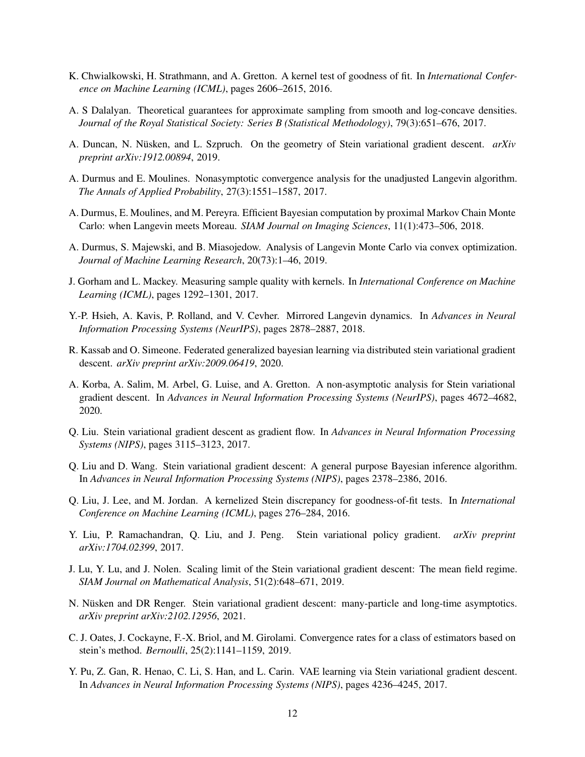- <span id="page-11-15"></span>K. Chwialkowski, H. Strathmann, and A. Gretton. A kernel test of goodness of fit. In *International Conference on Machine Learning (ICML)*, pages 2606–2615, 2016.
- <span id="page-11-2"></span>A. S Dalalyan. Theoretical guarantees for approximate sampling from smooth and log-concave densities. *Journal of the Royal Statistical Society: Series B (Statistical Methodology)*, 79(3):651–676, 2017.
- <span id="page-11-11"></span>A. Duncan, N. Nüsken, and L. Szpruch. On the geometry of Stein variational gradient descent. *arXiv preprint arXiv:1912.00894*, 2019.
- <span id="page-11-3"></span>A. Durmus and E. Moulines. Nonasymptotic convergence analysis for the unadjusted Langevin algorithm. *The Annals of Applied Probability*, 27(3):1551–1587, 2017.
- <span id="page-11-4"></span>A. Durmus, E. Moulines, and M. Pereyra. Efficient Bayesian computation by proximal Markov Chain Monte Carlo: when Langevin meets Moreau. *SIAM Journal on Imaging Sciences*, 11(1):473–506, 2018.
- <span id="page-11-0"></span>A. Durmus, S. Majewski, and B. Miasojedow. Analysis of Langevin Monte Carlo via convex optimization. *Journal of Machine Learning Research*, 20(73):1–46, 2019.
- <span id="page-11-17"></span>J. Gorham and L. Mackey. Measuring sample quality with kernels. In *International Conference on Machine Learning (ICML)*, pages 1292–1301, 2017.
- <span id="page-11-1"></span>Y.-P. Hsieh, A. Kavis, P. Rolland, and V. Cevher. Mirrored Langevin dynamics. In *Advances in Neural Information Processing Systems (NeurIPS)*, pages 2878–2887, 2018.
- <span id="page-11-9"></span>R. Kassab and O. Simeone. Federated generalized bayesian learning via distributed stein variational gradient descent. *arXiv preprint arXiv:2009.06419*, 2020.
- <span id="page-11-13"></span>A. Korba, A. Salim, M. Arbel, G. Luise, and A. Gretton. A non-asymptotic analysis for Stein variational gradient descent. In *Advances in Neural Information Processing Systems (NeurIPS)*, pages 4672–4682, 2020.
- <span id="page-11-6"></span>Q. Liu. Stein variational gradient descent as gradient flow. In *Advances in Neural Information Processing Systems (NIPS)*, pages 3115–3123, 2017.
- <span id="page-11-5"></span>Q. Liu and D. Wang. Stein variational gradient descent: A general purpose Bayesian inference algorithm. In *Advances in Neural Information Processing Systems (NIPS)*, pages 2378–2386, 2016.
- <span id="page-11-14"></span>Q. Liu, J. Lee, and M. Jordan. A kernelized Stein discrepancy for goodness-of-fit tests. In *International Conference on Machine Learning (ICML)*, pages 276–284, 2016.
- <span id="page-11-7"></span>Y. Liu, P. Ramachandran, Q. Liu, and J. Peng. Stein variational policy gradient. *arXiv preprint arXiv:1704.02399*, 2017.
- <span id="page-11-10"></span>J. Lu, Y. Lu, and J. Nolen. Scaling limit of the Stein variational gradient descent: The mean field regime. *SIAM Journal on Mathematical Analysis*, 51(2):648–671, 2019.
- <span id="page-11-12"></span>N. Nüsken and DR Renger. Stein variational gradient descent: many-particle and long-time asymptotics. *arXiv preprint arXiv:2102.12956*, 2021.
- <span id="page-11-16"></span>C. J. Oates, J. Cockayne, F.-X. Briol, and M. Girolami. Convergence rates for a class of estimators based on stein's method. *Bernoulli*, 25(2):1141–1159, 2019.
- <span id="page-11-8"></span>Y. Pu, Z. Gan, R. Henao, C. Li, S. Han, and L. Carin. VAE learning via Stein variational gradient descent. In *Advances in Neural Information Processing Systems (NIPS)*, pages 4236–4245, 2017.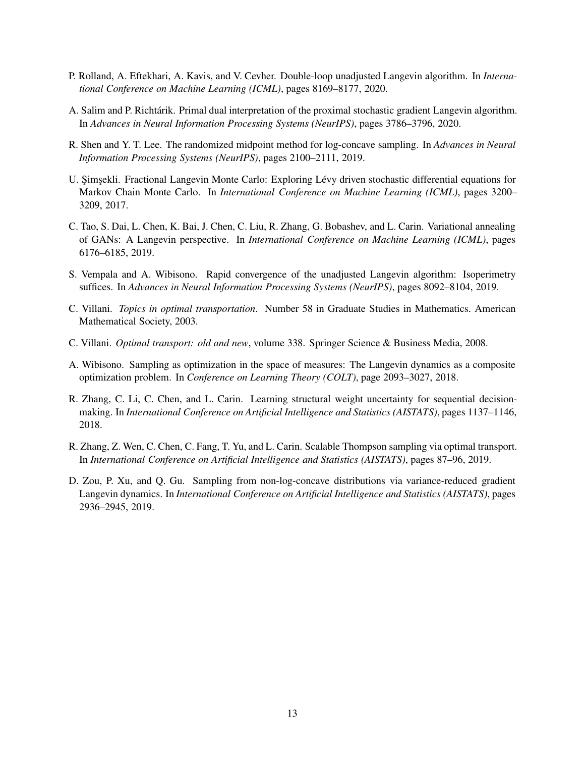- <span id="page-12-2"></span>P. Rolland, A. Eftekhari, A. Kavis, and V. Cevher. Double-loop unadjusted Langevin algorithm. In *International Conference on Machine Learning (ICML)*, pages 8169–8177, 2020.
- <span id="page-12-1"></span>A. Salim and P. Richtárik. Primal dual interpretation of the proximal stochastic gradient Langevin algorithm. In *Advances in Neural Information Processing Systems (NeurIPS)*, pages 3786–3796, 2020.
- <span id="page-12-6"></span>R. Shen and Y. T. Lee. The randomized midpoint method for log-concave sampling. In *Advances in Neural Information Processing Systems (NeurIPS)*, pages 2100–2111, 2019.
- <span id="page-12-5"></span>U. Simsekli. Fractional Langevin Monte Carlo: Exploring Lévy driven stochastic differential equations for Markov Chain Monte Carlo. In *International Conference on Machine Learning (ICML)*, pages 3200– 3209, 2017.
- <span id="page-12-9"></span>C. Tao, S. Dai, L. Chen, K. Bai, J. Chen, C. Liu, R. Zhang, G. Bobashev, and L. Carin. Variational annealing of GANs: A Langevin perspective. In *International Conference on Machine Learning (ICML)*, pages 6176–6185, 2019.
- <span id="page-12-3"></span>S. Vempala and A. Wibisono. Rapid convergence of the unadjusted Langevin algorithm: Isoperimetry suffices. In *Advances in Neural Information Processing Systems (NeurIPS)*, pages 8092–8104, 2019.
- <span id="page-12-11"></span>C. Villani. *Topics in optimal transportation*. Number 58 in Graduate Studies in Mathematics. American Mathematical Society, 2003.
- <span id="page-12-10"></span>C. Villani. *Optimal transport: old and new*, volume 338. Springer Science & Business Media, 2008.
- <span id="page-12-0"></span>A. Wibisono. Sampling as optimization in the space of measures: The Langevin dynamics as a composite optimization problem. In *Conference on Learning Theory (COLT)*, page 2093–3027, 2018.
- <span id="page-12-7"></span>R. Zhang, C. Li, C. Chen, and L. Carin. Learning structural weight uncertainty for sequential decisionmaking. In *International Conference on Artificial Intelligence and Statistics (AISTATS)*, pages 1137–1146, 2018.
- <span id="page-12-8"></span>R. Zhang, Z. Wen, C. Chen, C. Fang, T. Yu, and L. Carin. Scalable Thompson sampling via optimal transport. In *International Conference on Artificial Intelligence and Statistics (AISTATS)*, pages 87–96, 2019.
- <span id="page-12-4"></span>D. Zou, P. Xu, and Q. Gu. Sampling from non-log-concave distributions via variance-reduced gradient Langevin dynamics. In *International Conference on Artificial Intelligence and Statistics (AISTATS)*, pages 2936–2945, 2019.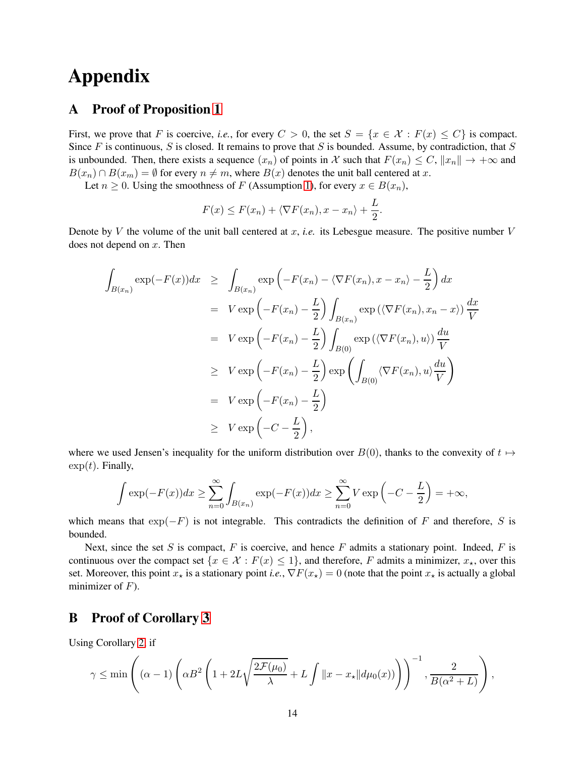# Appendix

## A Proof of Proposition [1](#page-3-2)

First, we prove that F is coercive, *i.e.*, for every  $C > 0$ , the set  $S = \{x \in \mathcal{X} : F(x) \leq C\}$  is compact. Since  $F$  is continuous,  $S$  is closed. It remains to prove that  $S$  is bounded. Assume, by contradiction, that  $S$ is unbounded. Then, there exists a sequence  $(x_n)$  of points in X such that  $F(x_n) \leq C$ ,  $||x_n|| \to +\infty$  and  $B(x_n) \cap B(x_m) = \emptyset$  for every  $n \neq m$ , where  $B(x)$  denotes the unit ball centered at x.

Let  $n \geq 0$ . Using the smoothness of F (Assumption [1\)](#page-2-2), for every  $x \in B(x_n)$ ,

$$
F(x) \leq F(x_n) + \langle \nabla F(x_n), x - x_n \rangle + \frac{L}{2}.
$$

Denote by V the volume of the unit ball centered at  $x$ , *i.e.* its Lebesgue measure. The positive number  $V$ does not depend on  $x$ . Then

$$
\int_{B(x_n)} \exp(-F(x))dx \geq \int_{B(x_n)} \exp\left(-F(x_n) - \langle \nabla F(x_n), x - x_n \rangle - \frac{L}{2}\right) dx
$$
  
\n
$$
= V \exp\left(-F(x_n) - \frac{L}{2}\right) \int_{B(x_n)} \exp\left(\langle \nabla F(x_n), x_n - x \rangle\right) \frac{dx}{V}
$$
  
\n
$$
= V \exp\left(-F(x_n) - \frac{L}{2}\right) \int_{B(0)} \exp\left(\langle \nabla F(x_n), u \rangle\right) \frac{du}{V}
$$
  
\n
$$
\geq V \exp\left(-F(x_n) - \frac{L}{2}\right) \exp\left(\int_{B(0)} \langle \nabla F(x_n), u \rangle \frac{du}{V}\right)
$$
  
\n
$$
= V \exp\left(-F(x_n) - \frac{L}{2}\right)
$$
  
\n
$$
\geq V \exp\left(-C - \frac{L}{2}\right),
$$

where we used Jensen's inequality for the uniform distribution over  $B(0)$ , thanks to the convexity of  $t \mapsto$  $\exp(t)$ . Finally,

$$
\int \exp(-F(x))dx \ge \sum_{n=0}^{\infty} \int_{B(x_n)} \exp(-F(x))dx \ge \sum_{n=0}^{\infty} V \exp\left(-C - \frac{L}{2}\right) = +\infty,
$$

which means that  $\exp(-F)$  is not integrable. This contradicts the definition of F and therefore, S is bounded.

Next, since the set S is compact, F is coercive, and hence F admits a stationary point. Indeed, F is continuous over the compact set  $\{x \in \mathcal{X} : F(x) \leq 1\}$ , and therefore, F admits a minimizer,  $x_{\star}$ , over this set. Moreover, this point  $x_{\star}$  is a stationary point *i.e.*,  $\nabla F(x_{\star}) = 0$  (note that the point  $x_{\star}$  is actually a global minimizer of  $F$ ).

## B Proof of Corollary [3](#page-10-4)

Using Corollary [2,](#page-10-6) if

$$
\gamma \le \min\left( (\alpha - 1) \left( \alpha B^2 \left( 1 + 2L\sqrt{\frac{2\mathcal{F}(\mu_0)}{\lambda}} + L \int ||x - x_{\star}|| d\mu_0(x)) \right) \right)^{-1}, \frac{2}{B(\alpha^2 + L)} \right),
$$